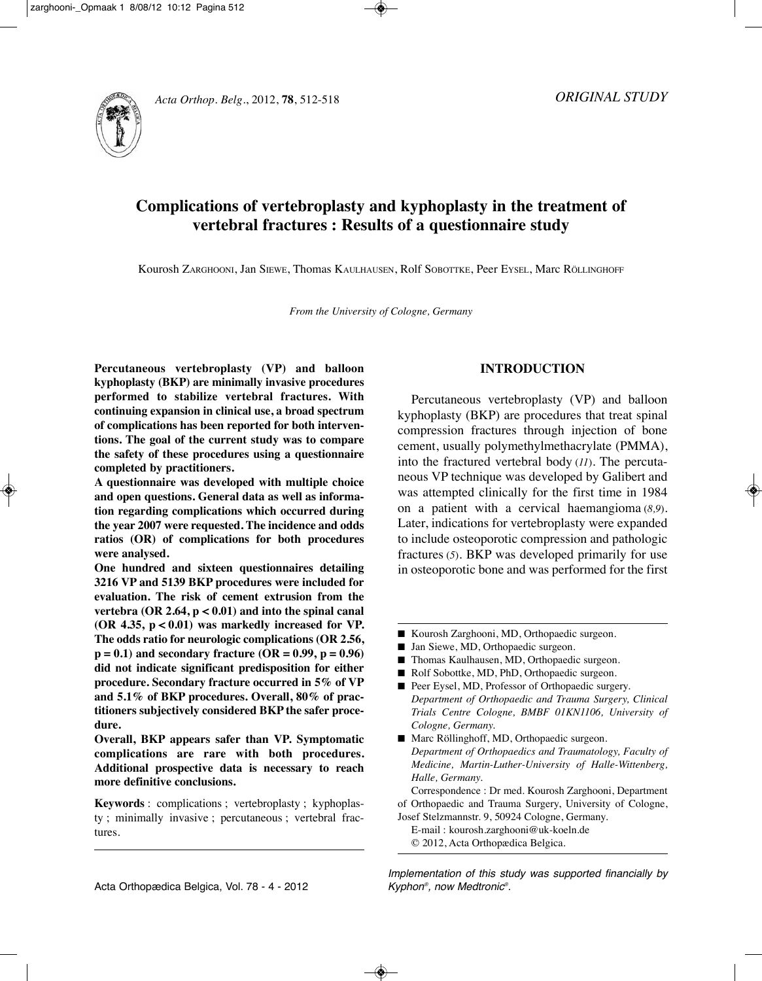



# **Complications of vertebroplasty and kyphoplasty in the treatment of vertebral fractures : Results of a questionnaire study**

Kourosh ZARGhOOni, Jan SiEwE, Thomas KAUlhAUSEn, Rolf SOBOTTKE, Peer EySEl, Marc RöllinGhOff

*From the University of Cologne, Germany*

**Percutaneous vertebroplasty (VP) and balloon kyphoplasty (BKP) are minimally invasive procedures performed to stabilize vertebral fractures. With continuing expansion in clinical use, a broad spectrum of complications has been reported for both interventions. The goal of the current study was to compare the safety of these procedures using a questionnaire completed by practitioners.**

**A questionnaire was developed with multiple choice and open questions. General data as well as information regarding complications which occurred during the year 2007 were requested. The incidence and odds ratios (OR) of complications for both procedures were analysed.**

**One hundred and sixteen questionnaires detailing 3216 VP and 5139 BKP procedures were included for evaluation. The risk of cement extrusion from the vertebra (OR 2.64, p < 0.01) and into the spinal canal (OR 4.35, p < 0.01) was markedly increased for VP. The odds ratio for neurologic complications (OR 2.56, p = 0.1) and secondary fracture (OR = 0.99, p = 0.96) did not indicate significant predisposition for either procedure. Secondary fracture occurred in 5% of VP and 5.1% of BKP procedures. Overall, 80% of practitioners subjectively considered BKP the safer procedure.**

**Overall, BKP appears safer than VP. Symptomatic complications are rare with both procedures. Additional prospective data is necessary to reach more definitive conclusions.**

**Keywords** : complications ; vertebroplasty ; kyphoplasty ; minimally invasive ; percutaneous ; vertebral fractures.

## **INTRODUCTION**

Percutaneous vertebroplasty (VP) and balloon kyphoplasty (BKP) are procedures that treat spinal compression fractures through injection of bone cement, usually polymethylmethacrylate (PMMA), into the fractured vertebral body (*11*). The percutaneous VP technique was developed by Galibert and was attempted clinically for the first time in 1984 on a patient with a cervical haemangioma (*8,9*). Later, indications for vertebroplasty were expanded to include osteoporotic compression and pathologic fractures (*5*). BKP was developed primarily for use in osteoporotic bone and was performed for the first

- Kourosh Zarghooni, MD, Orthopaedic surgeon.
- Jan Siewe, MD, Orthopaedic surgeon.
- Thomas Kaulhausen, MD, Orthopaedic surgeon.
- Rolf Sobottke, MD, PhD, Orthopaedic surgeon.
- Peer Eysel, MD, Professor of Orthopaedic surgery. *Department of Orthopaedic and Trauma Surgery, Clinical Trials Centre Cologne, BMBF 01KN1106, University of Cologne, Germany.*
- Marc Röllinghoff, MD, Orthopaedic surgeon. *Department of Orthopaedics and Traumatology, Faculty of Medicine, Martin-Luther-University of Halle-Wittenberg, Halle, Germany.*

Correspondence : Dr med. Kourosh Zarghooni, Department of Orthopaedic and Trauma Surgery, University of Cologne, Josef Stelzmannstr. 9, 50924 Cologne, Germany.

E-mail : kourosh.zarghooni@uk-koeln.de © 2012, Acta Orthopædica Belgica.

Implementation of this study was supported financially by Kyphon®, now Medtronic®.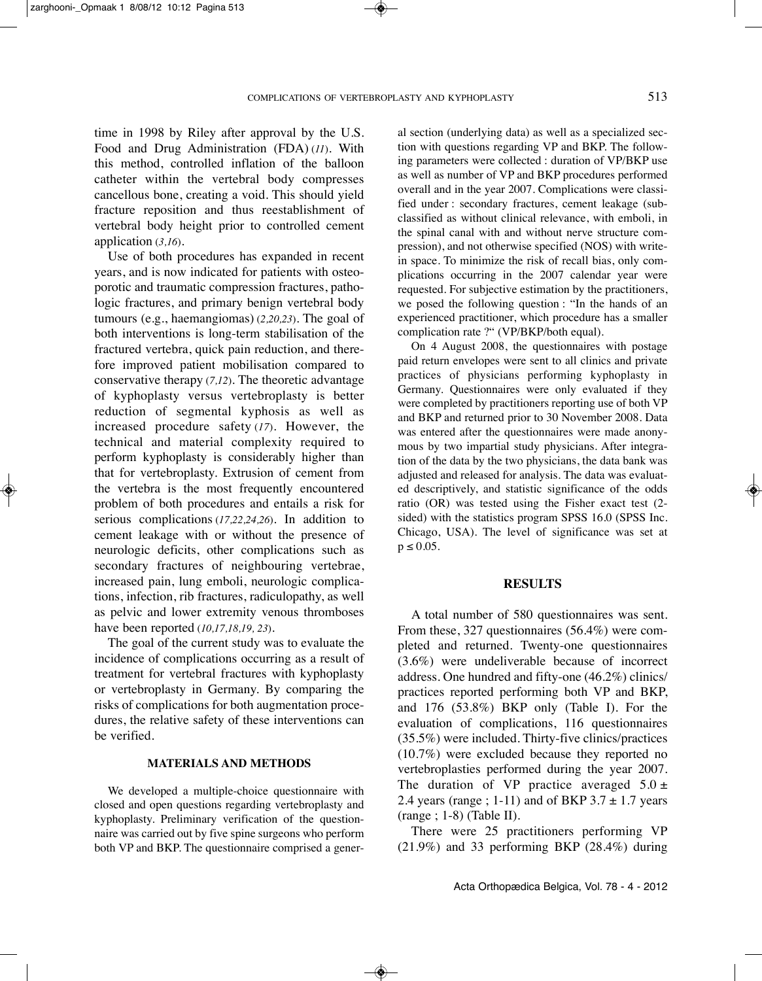time in 1998 by Riley after approval by the U.S. food and Drug Administration (fDA) (*11*). with this method, controlled inflation of the balloon catheter within the vertebral body compresses cancellous bone, creating a void. This should yield fracture reposition and thus reestablishment of vertebral body height prior to controlled cement application (*3,16*).

Use of both procedures has expanded in recent years, and is now indicated for patients with osteoporotic and traumatic compression fractures, pathologic fractures, and primary benign vertebral body tumours (e.g., haemangiomas) (*2,20,23*). The goal of both interventions is long-term stabilisation of the fractured vertebra, quick pain reduction, and therefore improved patient mobilisation compared to conservative therapy (*7,12*). The theoretic advantage of kyphoplasty versus vertebroplasty is better reduction of segmental kyphosis as well as increased procedure safety (*17*). however, the technical and material complexity required to perform kyphoplasty is considerably higher than that for vertebroplasty. Extrusion of cement from the vertebra is the most frequently encountered problem of both procedures and entails a risk for serious complications (17,22,24,26). In addition to cement leakage with or without the presence of neurologic deficits, other complications such as secondary fractures of neighbouring vertebrae, increased pain, lung emboli, neurologic complications, infection, rib fractures, radiculopathy, as well as pelvic and lower extremity venous thromboses have been reported (*10,17,18,19, 23*).

The goal of the current study was to evaluate the incidence of complications occurring as a result of treatment for vertebral fractures with kyphoplasty or vertebroplasty in Germany. By comparing the risks of complications for both augmentation procedures, the relative safety of these interventions can be verified.

### **MATERIALS AND METHODS**

we developed a multiple-choice questionnaire with closed and open questions regarding vertebroplasty and kyphoplasty. Preliminary verification of the questionnaire was carried out by five spine surgeons who perform both VP and BKP. The questionnaire comprised a general section (underlying data) as well as a specialized section with questions regarding VP and BKP. The following parameters were collected : duration of VP/BKP use as well as number of VP and BKP procedures performed overall and in the year 2007. Complications were classified under : secondary fractures, cement leakage (subclassified as without clinical relevance, with emboli, in the spinal canal with and without nerve structure compression), and not otherwise specified (NOS) with writein space. To minimize the risk of recall bias, only complications occurring in the 2007 calendar year were requested. for subjective estimation by the practitioners, we posed the following question : "In the hands of an experienced practitioner, which procedure has a smaller complication rate ?" (VP/BKP/both equal).

On 4 August 2008, the questionnaires with postage paid return envelopes were sent to all clinics and private practices of physicians performing kyphoplasty in Germany. Questionnaires were only evaluated if they were completed by practitioners reporting use of both VP and BKP and returned prior to 30 November 2008. Data was entered after the questionnaires were made anonymous by two impartial study physicians. After integration of the data by the two physicians, the data bank was adjusted and released for analysis. The data was evaluated descriptively, and statistic significance of the odds ratio (OR) was tested using the fisher exact test (2 sided) with the statistics program SPSS 16.0 (SPSS Inc. Chicago, USA). The level of significance was set at  $p \le 0.05$ .

#### **RESULTS**

A total number of 580 questionnaires was sent. from these, 327 questionnaires (56.4%) were completed and returned. Twenty-one questionnaires (3.6%) were undeliverable because of incorrect address. One hundred and fifty-one (46.2%) clinics/ practices reported performing both VP and BKP, and 176 (53.8%) BKP only (Table i). for the evaluation of complications, 116 questionnaires (35.5%) were included. Thirty-five clinics/practices (10.7%) were excluded because they reported no vertebroplasties performed during the year 2007. The duration of VP practice averaged  $5.0 \pm$ 2.4 years (range ; 1-11) and of BKP  $3.7 \pm 1.7$  years  $(range; 1-8)$  (Table II).

There were 25 practitioners performing VP (21.9%) and 33 performing BKP (28.4%) during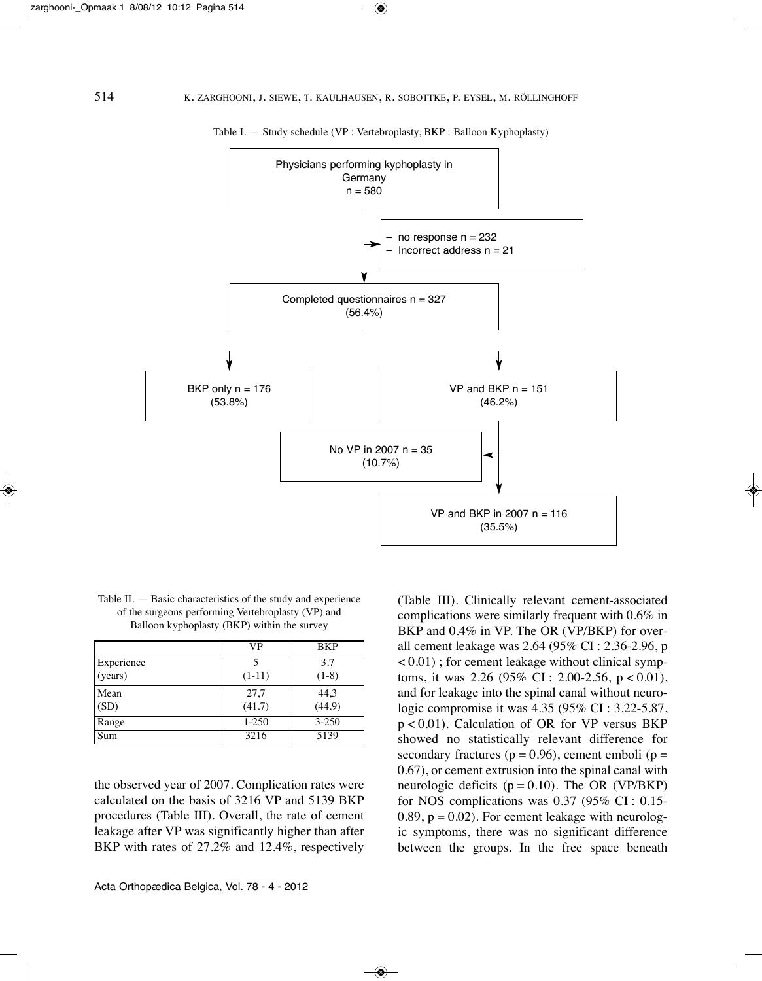

Table I. — Study schedule (VP : Vertebroplasty, BKP : Balloon Kyphoplasty)

Table II.  $-$  Basic characteristics of the study and experience of the surgeons performing Vertebroplasty (VP) and Balloon kyphoplasty (BKP) within the survey

|            | VP        | <b>BKP</b>       |
|------------|-----------|------------------|
| Experience |           | 3.7              |
| (years)    | $(1-11)$  | $(1-8)$          |
| Mean       | 27,7      |                  |
| (SD)       | (41.7)    | $44,3$<br>(44.9) |
| Range      | $1 - 250$ | $3 - 250$        |
| Sum        | 3216      | 5139             |

the observed year of 2007. Complication rates were calculated on the basis of 3216 VP and 5139 BKP procedures (Table III). Overall, the rate of cement leakage after VP was significantly higher than after BKP with rates of 27.2% and 12.4%, respectively

(Table III). Clinically relevant cement-associated complications were similarly frequent with 0.6% in BKP and 0.4% in VP. The OR (VP/BKP) for overall cement leakage was 2.64 (95% Ci : 2.36-2.96, p  $< 0.01$ ); for cement leakage without clinical symptoms, it was 2.26 (95% CI: 2.00-2.56,  $p < 0.01$ ), and for leakage into the spinal canal without neurologic compromise it was 4.35 (95% CI : 3.22-5.87, p < 0.01). Calculation of OR for VP versus BKP showed no statistically relevant difference for secondary fractures ( $p = 0.96$ ), cement emboli ( $p =$ 0.67), or cement extrusion into the spinal canal with neurologic deficits ( $p = 0.10$ ). The OR (VP/BKP) for NOS complications was  $0.37$  (95% CI :  $0.15$ -0.89,  $p = 0.02$ ). For cement leakage with neurologic symptoms, there was no significant difference between the groups. in the free space beneath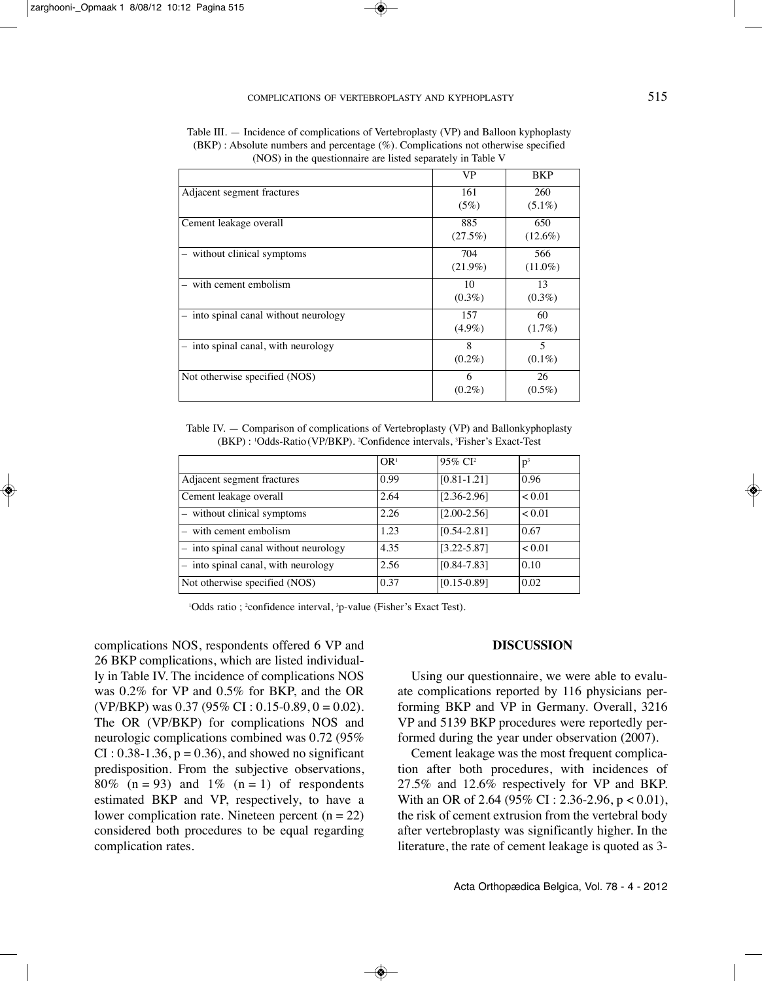|                                       | VP         | <b>BKP</b>     |
|---------------------------------------|------------|----------------|
| Adjacent segment fractures            | 161        | 260            |
|                                       | (5%)       | $(5.1\%)$      |
| Cement leakage overall                | 885        | 650            |
|                                       | (27.5%)    | $(12.6\%)$     |
| without clinical symptoms             | 704        | 566            |
|                                       | $(21.9\%)$ | $(11.0\%)$     |
| with cement embolism                  | 10         | 13             |
|                                       | $(0.3\%)$  | $(0.3\%)$      |
| - into spinal canal without neurology | 157        | 60             |
|                                       | $(4.9\%)$  | $(1.7\%)$      |
| into spinal canal, with neurology     | 8          | $\overline{5}$ |
|                                       | $(0.2\%)$  | $(0.1\%)$      |
| Not otherwise specified (NOS)         | 6          | 26             |
|                                       | $(0.2\%)$  | $(0.5\%)$      |

Table III. — Incidence of complications of Vertebroplasty (VP) and Balloon kyphoplasty  $(BKP)$ : Absolute numbers and percentage  $(\%)$ . Complications not otherwise specified (nOS) in the questionnaire are listed separately in Table V

Table iV. — Comparison of complications of Vertebroplasty (VP) and Ballonkyphoplasty (BKP) : <sup>1</sup> Odds-Ratio (VP/BKP). <sup>2</sup> Confidence intervals, <sup>3</sup> fisher's Exact-Test

|                                       | OR <sup>1</sup> | 95% CI <sup>2</sup> | $p^3$  |
|---------------------------------------|-----------------|---------------------|--------|
| Adjacent segment fractures            | 0.99            | $[0.81 - 1.21]$     | 0.96   |
| Cement leakage overall                | 2.64            | $[2.36 - 2.96]$     | < 0.01 |
| - without clinical symptoms           | 2.26            | $[2.00 - 2.56]$     | < 0.01 |
| - with cement embolism                | 1.23            | $[0.54 - 2.81]$     | 0.67   |
| - into spinal canal without neurology | 4.35            | $[3.22 - 5.87]$     | < 0.01 |
| - into spinal canal, with neurology   | 2.56            | $[0.84 - 7.83]$     | 0.10   |
| Not otherwise specified (NOS)         | 0.37            | $[0.15 - 0.89]$     | 0.02   |

'Odds ratio ; <sup>2</sup>confidence interval, <sup>3</sup>p-value (Fisher's Exact Test).

complications nOS, respondents offered 6 VP and 26 BKP complications, which are listed individually in Table IV. The incidence of complications NOS was 0.2% for VP and 0.5% for BKP, and the OR (VP/BKP) was  $0.37$  (95% CI : 0.15-0.89, 0 = 0.02). The OR (VP/BKP) for complications NOS and neurologic complications combined was 0.72 (95%  $CI: 0.38-1.36$ ,  $p = 0.36$ ), and showed no significant predisposition. from the subjective observations, 80% (n = 93) and 1% (n = 1) of respondents estimated BKP and VP, respectively, to have a lower complication rate. Nineteen percent ( $n = 22$ ) considered both procedures to be equal regarding complication rates.

#### **DISCUSSION**

Using our questionnaire, we were able to evaluate complications reported by 116 physicians performing BKP and VP in Germany. Overall, 3216 VP and 5139 BKP procedures were reportedly performed during the year under observation (2007).

Cement leakage was the most frequent complication after both procedures, with incidences of 27.5% and 12.6% respectively for VP and BKP. With an OR of 2.64 (95% CI : 2.36-2.96,  $p < 0.01$ ), the risk of cement extrusion from the vertebral body after vertebroplasty was significantly higher. in the literature, the rate of cement leakage is quoted as 3-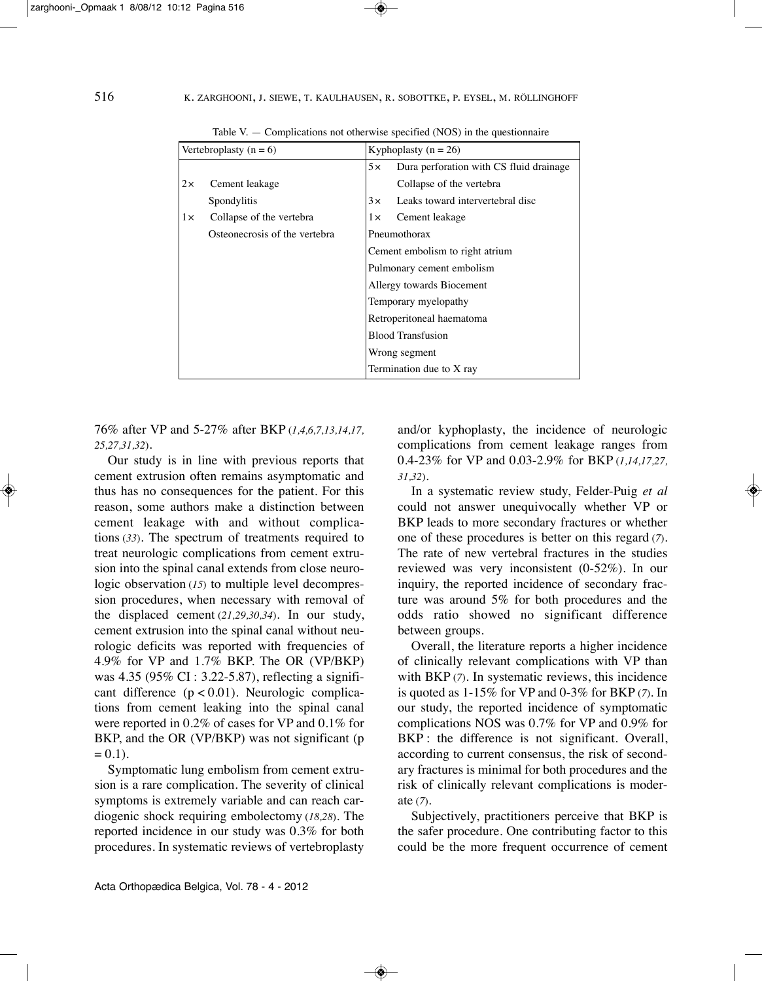|           | Vertebroplasty $(n = 6)$      | Kyphoplasty ( $n = 26$ )        |                                         |  |
|-----------|-------------------------------|---------------------------------|-----------------------------------------|--|
|           |                               | 5x                              | Dura perforation with CS fluid drainage |  |
| $2\times$ | Cement leakage                |                                 | Collapse of the vertebra                |  |
|           | Spondylitis                   | 3x                              | Leaks toward intervertebral disc        |  |
| 1x        | Collapse of the vertebra      | $1\times$                       | Cement leakage                          |  |
|           | Osteonecrosis of the vertebra | Pneumothorax                    |                                         |  |
|           |                               | Cement embolism to right atrium |                                         |  |
|           |                               | Pulmonary cement embolism       |                                         |  |
|           |                               | Allergy towards Biocement       |                                         |  |
|           |                               | Temporary myelopathy            |                                         |  |
|           |                               | Retroperitoneal haematoma       |                                         |  |
|           |                               | <b>Blood Transfusion</b>        |                                         |  |
|           |                               | Wrong segment                   |                                         |  |
|           |                               | Termination due to X ray        |                                         |  |

Table V.  $-$  Complications not otherwise specified (NOS) in the questionnaire

76% after VP and 5-27% after BKP (*1,4,6,7,13,14,17, 25,27,31,32*)*.*

Our study is in line with previous reports that cement extrusion often remains asymptomatic and thus has no consequences for the patient. for this reason, some authors make a distinction between cement leakage with and without complications (*33*). The spectrum of treatments required to treat neurologic complications from cement extrusion into the spinal canal extends from close neurologic observation (*15*) to multiple level decompression procedures, when necessary with removal of the displaced cement (21,29,30,34). In our study, cement extrusion into the spinal canal without neurologic deficits was reported with frequencies of 4.9% for VP and 1.7% BKP. The OR (VP/BKP) was 4.35 (95% CI : 3.22-5.87), reflecting a significant difference  $(p < 0.01)$ . Neurologic complications from cement leaking into the spinal canal were reported in 0.2% of cases for VP and 0.1% for BKP, and the OR (VP/BKP) was not significant (p  $= 0.1$ ).

Symptomatic lung embolism from cement extrusion is a rare complication. The severity of clinical symptoms is extremely variable and can reach cardiogenic shock requiring embolectomy (*18,28*). The reported incidence in our study was 0.3% for both procedures. in systematic reviews of vertebroplasty and/or kyphoplasty, the incidence of neurologic complications from cement leakage ranges from 0.4-23% for VP and 0.03-2.9% for BKP (*1,14,17,27, 31,32*).

In a systematic review study, Felder-Puig et al could not answer unequivocally whether VP or BKP leads to more secondary fractures or whether one of these procedures is better on this regard (*7*). The rate of new vertebral fractures in the studies reviewed was very inconsistent (0-52%). In our inquiry, the reported incidence of secondary fracture was around 5% for both procedures and the odds ratio showed no significant difference between groups.

Overall, the literature reports a higher incidence of clinically relevant complications with VP than with BKP (7). In systematic reviews, this incidence is quoted as 1-15% for VP and 0-3% for BKP (*7*). in our study, the reported incidence of symptomatic complications nOS was 0.7% for VP and 0.9% for BKP: the difference is not significant. Overall, according to current consensus, the risk of secondary fractures is minimal for both procedures and the risk of clinically relevant complications is moderate (*7*).

Subjectively, practitioners perceive that BKP is the safer procedure. One contributing factor to this could be the more frequent occurrence of cement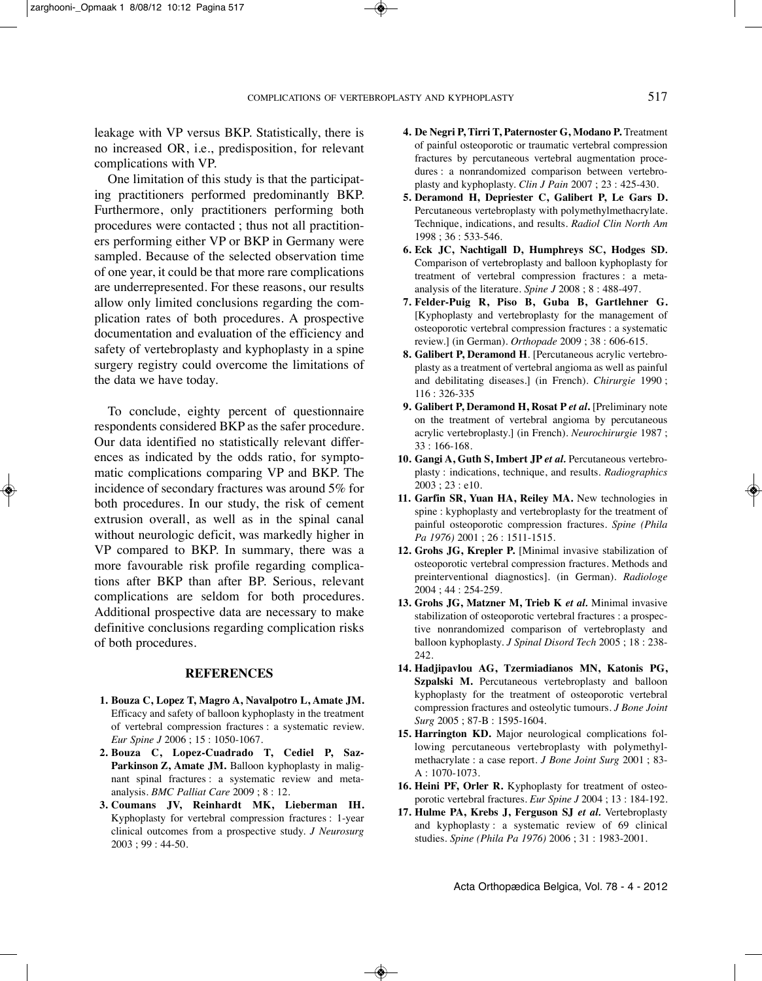leakage with VP versus BKP. Statistically, there is no increased OR, i.e., predisposition, for relevant complications with VP.

One limitation of this study is that the participating practitioners performed predominantly BKP. furthermore, only practitioners performing both procedures were contacted ; thus not all practitioners performing either VP or BKP in Germany were sampled. Because of the selected observation time of one year, it could be that more rare complications are underrepresented. for these reasons, our results allow only limited conclusions regarding the complication rates of both procedures. A prospective documentation and evaluation of the efficiency and safety of vertebroplasty and kyphoplasty in a spine surgery registry could overcome the limitations of the data we have today.

To conclude, eighty percent of questionnaire respondents considered BKP as the safer procedure. Our data identified no statistically relevant differences as indicated by the odds ratio, for symptomatic complications comparing VP and BKP. The incidence of secondary fractures was around 5% for both procedures. in our study, the risk of cement extrusion overall, as well as in the spinal canal without neurologic deficit, was markedly higher in VP compared to BKP. in summary, there was a more favourable risk profile regarding complications after BKP than after BP. Serious, relevant complications are seldom for both procedures. Additional prospective data are necessary to make definitive conclusions regarding complication risks of both procedures.

#### **REFERENCES**

- **1. Bouza C, Lopez T, Magro A, Navalpotro L, Amate JM.** Efficacy and safety of balloon kyphoplasty in the treatment of vertebral compression fractures : a systematic review. *Eur Spine J* 2006 ; 15 : 1050-1067.
- **2. Bouza C, Lopez-Cuadrado T, Cediel P, Saz-Parkinson Z, Amate JM.** Balloon kyphoplasty in malignant spinal fractures : a systematic review and metaanalysis. *BMC Palliat Care* 2009 ; 8 : 12.
- **3. Coumans JV, Reinhardt MK, Lieberman IH.** Kyphoplasty for vertebral compression fractures : 1-year clinical outcomes from a prospective study. *J Neurosurg* 2003 ; 99 : 44-50.
- **4. De Negri P, Tirri T, Paternoster G, Modano P.** Treatment of painful osteoporotic or traumatic vertebral compression fractures by percutaneous vertebral augmentation procedures : a nonrandomized comparison between vertebroplasty and kyphoplasty. *Clin J Pain* 2007 ; 23 : 425-430.
- **5. Deramond H, Depriester C, Galibert P, Le Gars D.** Percutaneous vertebroplasty with polymethylmethacrylate. Technique, indications, and results. *Radiol Clin North Am* 1998 ; 36 : 533-546.
- **6. Eck JC, Nachtigall D, Humphreys SC, Hodges SD***.* Comparison of vertebroplasty and balloon kyphoplasty for treatment of vertebral compression fractures : a metaanalysis of the literature. *Spine J* 2008 ; 8 : 488-497.
- **7. Felder-Puig R, Piso B, Guba B, Gartlehner G.** [Kyphoplasty and vertebroplasty for the management of osteoporotic vertebral compression fractures : a systematic review.] (in German). *Orthopade* 2009 ; 38 : 606-615.
- **8. Galibert P, Deramond H**. [Percutaneous acrylic vertebroplasty as a treatment of vertebral angioma as well as painful and debilitating diseases.] (in french). *Chirurgie* 1990 ; 116 : 326-335
- **9. Galibert P, Deramond H, Rosat P** *et al***.** [Preliminary note on the treatment of vertebral angioma by percutaneous acrylic vertebroplasty.] (in french). *Neurochirurgie* 1987 ; 33 : 166-168.
- **10. Gangi A, Guth S, Imbert JP** *et al.* Percutaneous vertebroplasty : indications, technique, and results. *Radiographics* 2003 ; 23 : e10.
- **11. Garfin SR, Yuan HA, Reiley MA.** new technologies in spine : kyphoplasty and vertebroplasty for the treatment of painful osteoporotic compression fractures. *Spine (Phila Pa 1976)* 2001 ; 26 : 1511-1515.
- **12. Grohs JG, Krepler P.** [Minimal invasive stabilization of osteoporotic vertebral compression fractures. Methods and preinterventional diagnostics]. (in German). *Radiologe* 2004 ; 44 : 254-259.
- **13. Grohs JG, Matzner M, Trieb K** *et al.* Minimal invasive stabilization of osteoporotic vertebral fractures : a prospective nonrandomized comparison of vertebroplasty and balloon kyphoplasty. *J Spinal Disord Tech* 2005 ; 18 : 238- 242.
- **14. Hadjipavlou AG, Tzermiadianos MN, Katonis PG, Szpalski M.** Percutaneous vertebroplasty and balloon kyphoplasty for the treatment of osteoporotic vertebral compression fractures and osteolytic tumours. *J Bone Joint Surg* 2005 ; 87-B : 1595-1604.
- **15. Harrington KD.** Major neurological complications following percutaneous vertebroplasty with polymethylmethacrylate : a case report. *J Bone Joint Surg* 2001 ; 83- A : 1070-1073.
- **16. Heini PF, Orler R.** Kyphoplasty for treatment of osteoporotic vertebral fractures. *Eur Spine J* 2004 ; 13 : 184-192.
- **17. Hulme PA, Krebs J, Ferguson SJ** *et al.* Vertebroplasty and kyphoplasty : a systematic review of 69 clinical studies. *Spine (Phila Pa 1976)* 2006 ; 31 : 1983-2001.